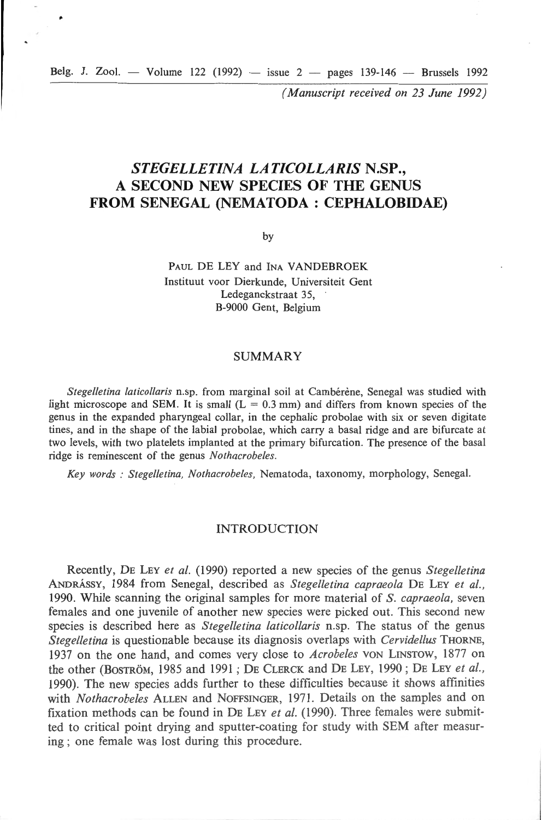Belg. J. Zool. — Volume 122 (1992) — issue  $2$  — pages 139-146 — Brussels 1992

٠

*( Manuscript received on 23 June 1992)* 

## *STEGELLETINA LATICOLLARIS* **N.SP., A SECOND NEW SPECIES OF THE GENUS FROM SENEGAL (NEMATODA : CEPHALOBIDAE)**

by

PAUL DE LEY and INA VANDEBROEK Instituut voor Dierkunde, Universiteit Gent Ledeganckstraat 35, B-9000 Gent, Belgium

#### SUMMARY

*Stege//etina laticollaris* n.sp. from marginal soi! at Cambérène, Senegal was studied with light microscope and SEM. It is small  $(L = 0.3$  mm) and differs from known species of the genus in the expanded pharyngeal collar, in the cephalic probolae with six or seven digitate tines, and in the shape of the labial probolae, which carry a basal ridge and are bifurcate at two levels, with two platelets implanted at the primary bifurcation. The presence of the basal ridge is reminescent of the genus *Nothacrobeles.* 

Key words : Stegelletina, Nothacrobeles, Nematoda, taxonomy, morphology, Senegal.

## INTRODUCTION

Recently, DE LEY *et al.* (1990) reported a new species of the genus *Stegelletina*  ANDRÁSSY, 1984 from Senegal, described as *Stegelletina capraeola* DE LEY et al., 1990. While scanning the original samples for more material of S. *capraeola,* seven females and one juvenile of another new species were picked out. This second new species is described here as *Stegelletina laticollaris* n.sp. The status of the genus *Stegelletina* is questionable because its diagnosis overlaps with *Cervidellus* THORNE, 1937 on the one hand, and comes very close to *Acrobeles* von LINSTOW, 1877 on the other (BOSTROM, !985 and 199 1 ; DE CLERCK and DE LEY, 1990; DE LEY *et al.,*  1990). The new species adds further to these difficulties because it shows affinities with *Nothacrobeles* ALLEN and NOFFSINGER, 1971. Details on the samples and on fixation methods cao be found in DE LEY *et al.* (1990). Three females were submitted to critical point drying and sputter-coating for study with SEM after measuring; one female was lost during this procedure.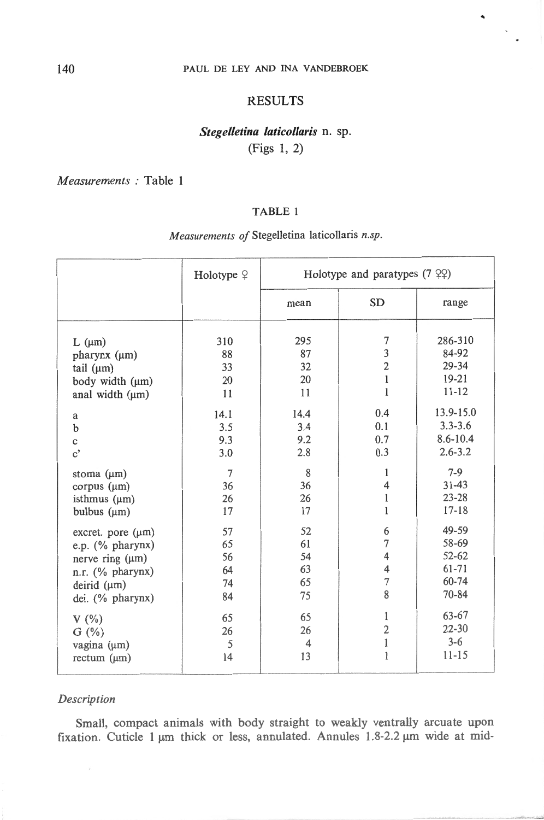## PAUL DE LEY AND INA VANDEBROEK

## RESULTS

## $Stegelletina *laticollaris* n. sp.$ (Figs l, 2)

*M easurements :* Table **1** 

## TABLE **1**

# *Measurements of* Stegelletina laticollaris *n.sp.*

|                        | Holotype $9$ | Holotype and paratypes $(7 \, \text{°} \, \text{°})$ |                |              |
|------------------------|--------------|------------------------------------------------------|----------------|--------------|
|                        |              | mean                                                 | <b>SD</b>      | range        |
| $L$ ( $\mu$ m)         | 310          | 295                                                  | 7              | 286-310      |
| pharynx (μm)           | 88           | 87                                                   | 3              | 84-92        |
| tail $(\mu m)$         | 33           | 32                                                   | $\overline{c}$ | $29 - 34$    |
| body width (µm)        | 20           | 20                                                   | $\mathbf 1$    | $19-21$      |
| anal width (µm)        | 11           | 11                                                   | $\mathbf{1}$   | $11 - 12$    |
| a                      | 14.1         | 14.4                                                 | 0.4            | 13.9-15.0    |
| b                      | 3.5          | 3.4                                                  | 0.1            | $3.3 - 3.6$  |
| $\mathbf c$            | 9.3          | 9.2                                                  | 0.7            | $8.6 - 10.4$ |
| $\mathbf{c}^{\prime}$  | 3.0          | 2.8                                                  | 0.3            | $2.6 - 3.2$  |
| stoma $(\mu m)$        | $\tau$       | 8                                                    | 1              | $7-9$        |
| corpus $(\mu m)$       | 36           | 36                                                   | 4              | $31 - 43$    |
| isthmus $(\mu m)$      | 26           | 26                                                   | $\,1$          | $23 - 28$    |
| bulbus $(\mu m)$       | 17           | 17                                                   | $\mathbf{1}$   | $17 - 18$    |
| excret. pore $(\mu m)$ | 57           | 52                                                   | 6              | 49-59        |
| e.p. (% pharynx)       | 65           | 61                                                   | 7              | 58-69        |
| nerve ring $(\mu m)$   | 56           | 54                                                   | 4              | $52 - 62$    |
| n.r. (% pharynx)       | 64           | 63                                                   | 4              | 61-71        |
| deirid $(\mu m)$       | 74           | 65                                                   | $\overline{7}$ | 60-74        |
| dei. (% pharynx)       | 84           | 75                                                   | 8              | $70 - 84$    |
| $V(\%)$                | 65           | 65                                                   | 1              | 63-67        |
| $G (\%)$               | 26           | 26                                                   | $\overline{c}$ | $22 - 30$    |
| vagina (μm)            | 5            | $\overline{4}$                                       | $\,1$          | $3 - 6$      |
| $rectum$ ( $\mu$ m)    | 14           | 13                                                   | $\mathbf{1}$   | $11 - 15$    |

## *Description*

Small, compact animais with body straight to weakly ventrally arcuate upon fixation. Cuticle 1  $\mu$ m thick or less, annulated. Annules 1.8-2.2  $\mu$ m wide at mid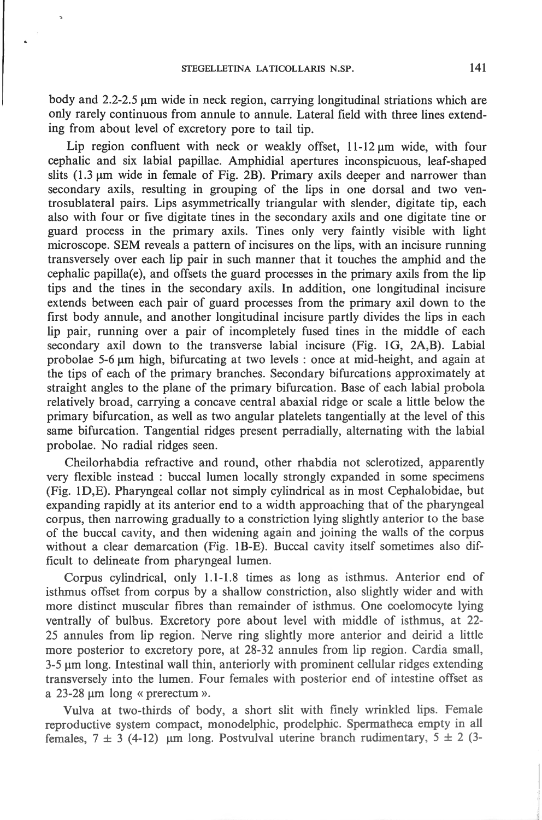$\mathbf{\hat{z}}$ 

body and  $2.2$ -2.5  $\mu$ m wide in neck region, carrying longitudinal striations which are only rarely continuous from annule to annule. Lateral field with three lines extending from about level of excretory pore to tail tip.

Lip region confluent with neck or weakly offset,  $11-12 \mu m$  wide, with four cephalic and six labial papillae. Amphidial apertures inconspicuous, leaf-shaped slits  $(1.3 \mu m)$  wide in female of Fig. 2B). Primary axils deeper and narrower than secondary axils, resulting in grouping of the lips in one dorsal and two ventrosublateral pairs. Lips asymmetrically triangular with slender, digitate tip, each also with four or five digitate tines in the secondary axils and one digitate tine or guard process in the primary axils. Tines only very faintly visible with light microscope. SEM reveals a pattern of incisures on the lips, with an incisure running transversely over each lip pair in such manner that it touches the amphid and the cephalic papilla(e), and offsets the guard processes in the primary axils from the lip tips and the tines in the secondary axils. In addition, one longitudinal incisure extends between each pair of guard processes from the primary axil down to the first body annule, and another longitudinal incisure partly divides the lips in each lip pair, running over a pair of incompletely fused tines in the middle of each secondary axil down to the transverse labial incisure (Fig. 1G, 2A,B). Labial probolae 5-6  $\mu$ m high, bifurcating at two levels : once at mid-height, and again at the tips of each of the primary branches. Secondary bifurcations approximately at straight angles to the plane of the primary bifurcation. Base of each labial probola relatively broad, carrying a concave central abaxial ridge or scale a little below the primary bifurcation, as well as two angular platelets tangentially at the level of this same bifurcation. Tangential ridges present perradially, alternating with the labial probolae. No radial ridges seen.

Cheilorhabdia refractive and round, other rhabdia not sclerotized, apparently very flexible instead : buccal lumen locally strongly expanded in sorne specimens  $(Fig. 1D, E)$ . Pharyngeal collar not simply cylindrical as in most Cephalobidae, but expanding rapidly at its anterior end to a width approaching that of the pharyngeal corpus, then narrowing gradually to a constriction 1ying slightly anterior to the base of the buccal cavity, and then widening again and joining the walls of the corpus without a clear demarcation (Fig. 1B-E). Buccal cavity itself sometimes also difficult to delineate from pharyngeal lumen.

Corpus cylindrical, only 1.1-1.8 times as long as isthmus. Anterior end of isthmus offset from corpus by a shallow constriction, also slightly wider and with more distinct muscular fibres than remainder of isthmus. One coelomocyte lying ventrally of bulbus. Excretory pore about leve! with middle of isthmus, at 22- 25 annules from lip region. Nerve ring slightly more anterior and deirid a little more posterior to excretory pore, at 28-32 annules from lip region. Cardia small, 3-5  $\mu$ m long. Intestinal wall thin, anteriorly with prominent cellular ridges extending transversely into the lumen. Four females with posterior end of intestine offset as a  $23-28 \mu m$  long « prerectum ».

Vulva at two-thirds of body, a short slit with finely wrinkled lips. Female reproductive system compact, monodelphic, prodelphic. Spermatheca empty in all females,  $7 \pm 3$  (4-12)  $\mu$ m long. Postvulval uterine branch rudimentary,  $5 \pm 2$  (3-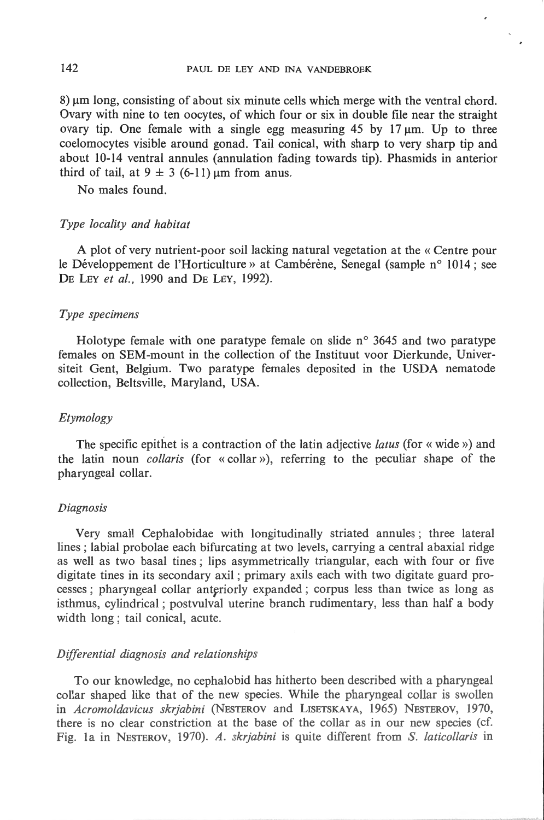$8) \mu m$  long, consisting of about six minute cells which merge with the ventral chord. Ovary with nine to ten oocytes, of which four or six in double file near the straight ovary tip. One female with a single egg measuring  $45$  by  $17 \mu m$ . Up to three coelomocytes visible around gonad. Tail conical, with sharp to very sharp tip and about 10-14 ventral annules (annulation fading towards tip). Phasmids in anterior third of tail, at  $9 \pm 3$  (6-11)  $\mu$ m from anus.

No males found.

## *Type loca/ity and habitat*

A plot of very nutrient-poor soil lacking natural vegetation at the « Centre pour le Développement de l'Horticulture» at Cambérène, Senegal (sample n° 1014; see DE LEY *et al.,* 1990 and DE LEY, 1992).

## *Type specimens*

Holotype female with one paratype female on slide n° 3645 and two paratype females on SEM-mount in the collection of the Instituut voor Dierkunde, Universiteit Gent, Belgium. Two paratype females deposited in the USDA nematode collection, Beltsville, Maryland, USA.

## *Etymology*

The specifie epithet is a contraction of the latin adjective *latus* (for« wide ») and the latin noun *co/laris* (for « collar »), referring to the peculiar shape of the pharyngeal collar.

#### *Diagnosis*

Very small Cephalobidae with longitudinally striated annules ; three lateral lines; labial probolae each bifurcating at two levels, carrying a central abaxial ridge as weil as two basal tines; Iips asymmetrically triangular, each with four or five digitate tines in its secondary axil; primary axils each with two digitate guard processes; pharyngeal collar anteriorly expanded; corpus less than twice as long as isthmus, cylindrical ; postvulval uterine branch rudimentary, less than half a body width long; tail conical, acute.

## *Differentiai diagnosis and relationships*

To our knowledge, no cephalobid has hitherto been described with a pharyngeal collar shaped like that of the new species. While the pharyngeal collar is swollen in *Acromo/davicus skrjabini* (NESTEROV and LISETSKAYA, 1965) NESTEROV, 1970, there is no clear constriction at the base of the collar as in our new species (cf. Fig. la in NESTEROV, 1970). *A. sk1jabini* is quite different from S. *laticollaris* in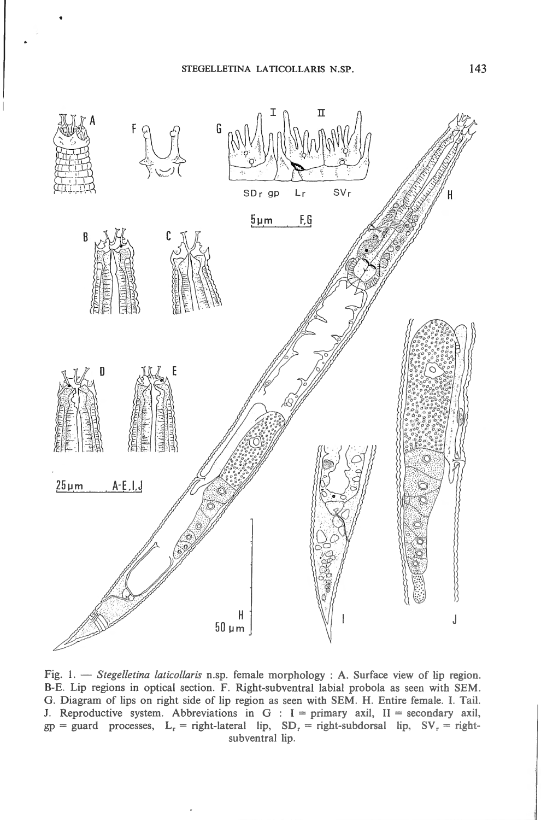

Fig. 1. - *Stegelletina laticollaris* n.sp. female morphology : A. Surface view of lip region. B-E. Lip regions in optical section. F. Right-subventral labial probola as seen with SEM. G. Diagram of lips on right side of lip region as seen with SEM. H. Entire female. I. Tail. J. Reproductive system. Abbreviations in G :  $I =$  primary axil,  $II =$  secondary axil,  $gp = guard$  processes,  $L_r = right$ -lateral lip,  $SD_r = right$ -subdorsal lip,  $SV_r = right$ subventral lip.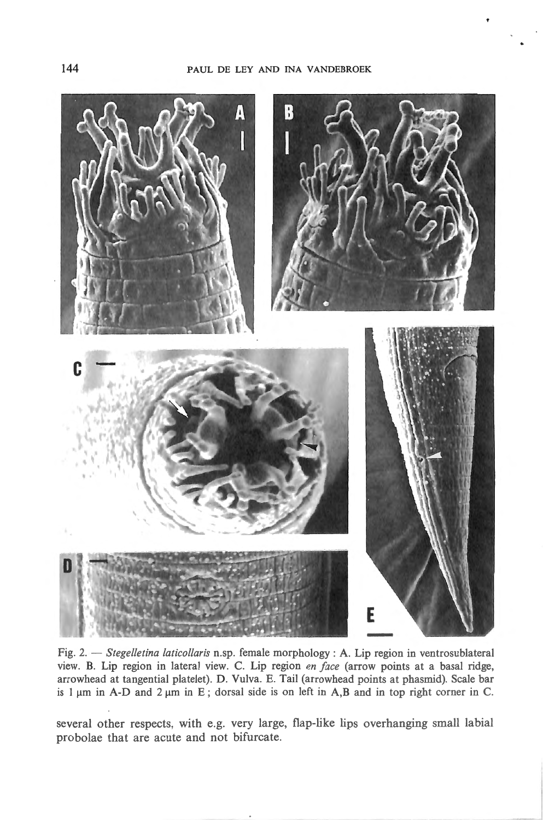

Fig. 2. - *Stegelletina laticollaris* n.sp. female morphology : A. Lip region in ventrosublateral view. B. Lip region in lateral view. C. Lip region *en face* (arrow points at a basal ridge, arrowhead at tangential platelet). D. Vulva. E. Tai! (arrowhead points at pbasrnid). Scale bar is 1  $\mu$ m in A-D and 2  $\mu$ m in E; dorsal side is on left in A,B and in top right corner in C.

severa! other respects, with e.g. very large, flap-like lips overhanging small labial probolae that are acute and not bifurcate.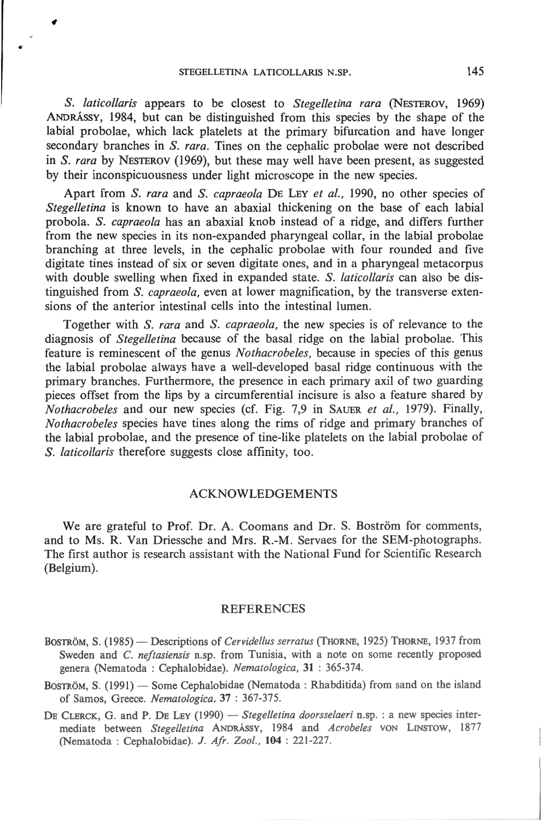S. *laticollaris* appears to be closest to *Stegelletina rara* (NESTEROV, 1969) ANDRÂSSY, 1984, but can be distinguished from this species by the shape of the labial probolae, which lack platelets at the primary bifurcation and have longer secondary branches in S. *rara.* Tines on the cephalic probolae were not described in S. *rara* by NESTEROV (1969), but these may weil have been present, as suggested by their inconspicuousness under light microscope in the new species.

Apart from S. *rara* and S. *capraeola* DE LEY *et al.,* 1990, no other species of *Stegelletina* is known to have an abaxial thickening on the base of each labial probola. S. *capraeola* has an abaxial knob instead of a ridge, and differs further from the new species in its non-expanded pharyngeal collar, in the labial probolae branching at three 1evels, in the cephalic probolae with four rounded and five digitate tines instead of six or seven digitate ones, and in a pharyngeal metacorpus with double swelling when fixed in expanded state. S. *laticollaris* can also be distinguished from S. *capraeola,* even at lower magnification, by the transverse extensions of the anterior intestinal cells into the intestinal lumen.

Together with S. *rara* and S. *capraeola,* the new species is of relevance to the diagnosis of *Stegelletina* because of the basal ridge on the labial probolae. This feature is reminescent of the genus *Nothacrobeles,* because in species of this genus the labial probolae always have a well-developed basal ridge continuous with the primary branches. Furthermore, the presence in each primary axil of two guarding pieces offset from the Iips by a circumferential incisure is also a feature shared by *Nothacrobeles* and our new species (cf. Fig. 7,9 in SAUER *et al. ,* 1979). Finally, *Nothacrobeles* species have tines along the rims of ridge and primary branches of the labial probolae, and the presence of tine-like platelets on the labial probolae of S. *laticollaris* therefore suggests close affinity, too.

## ACKNOWLEDGEMENTS

We are grateful to Prof. Dr. A. Coomans and Dr. S. Boström for comments, and to Ms. R. Van Driessche and Mrs. R.-M. Servaes for the SEM-photographs. The first author is research assistant with the National Fund for Scientific Research (Belgium).

## REFERENCES

- BOSTRÖM, S. (1985) Descriptions of *Cervidellus serratus* (THORNE, 1925) THORNE, 1937 from Sweden and *C. neftasiensis* n.sp. from Tunisia, with a note on some recently proposed genera (Nema toda : Cepha1obidae). *Nematologica,* 31 : 365-374.
- BOSTRÖM, S. (1991) Some Cephalobidae (Nematoda: Rhabditida) from sand on the island of Samos, G reece. *Nemato/ogica,* 37 : 367-375.
- DE CLERCK, G. and P. DE LEY (1990) *Stegelletina doorsselaeri* n.sp. : a new species intermediate between *Stegelletina* ANDRÀSSY, 1984 and *Acrobeles* VON LINSTOW, 1877 (Nematoda : Cepbalobidae). *J . Afr. Z ool. ,* 104 : 22 1-227.